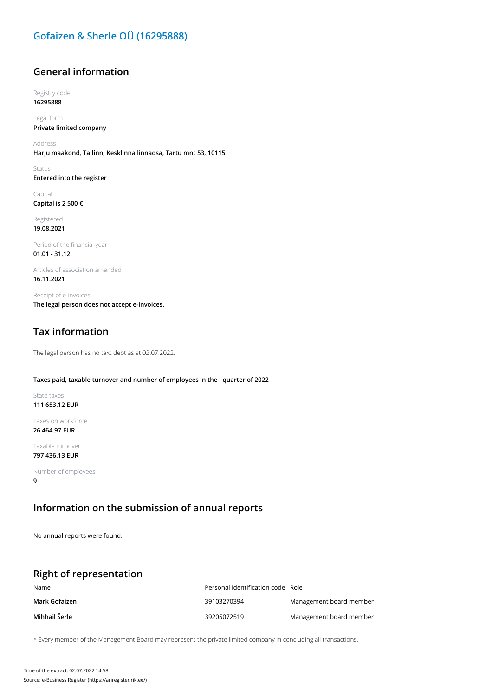### **Gofaizen & Sherle OÜ (16295888)**

### **General information**

Registry code **16295888**

Legal form **Private limited company**

Address **Harju maakond, Tallinn, Kesklinna linnaosa, Tartu mnt 53, 10115**

Status **Entered into the register**

Capital **Capital is 2 500 €**

Registered **19.08.2021**

Period of the financial year **01.01 - 31.12**

Articles of association amended **16.11.2021**

Receipt of e-invoices **The legal person does not accept e-invoices.**

## **Tax information**

The legal person has no taxt debt as at 02.07.2022.

#### **Taxes paid, taxable turnover and number of employees in the I quarter of 2022**

State taxes **111 653.12 EUR**

Taxes on workforce **26 464.97 EUR**

Taxable turnover **797 436.13 EUR**

Number of employees **9**

#### **Information on the submission of annual reports**

No annual reports were found.

### **Right of representation**

| Name          | Personal identification code Role |                         |
|---------------|-----------------------------------|-------------------------|
| Mark Gofaizen | 39103270394                       | Management board member |
| Mihhail Šerle | 39205072519                       | Management board member |

\* Every member of the Management Board may represent the private limited company in concluding all transactions.